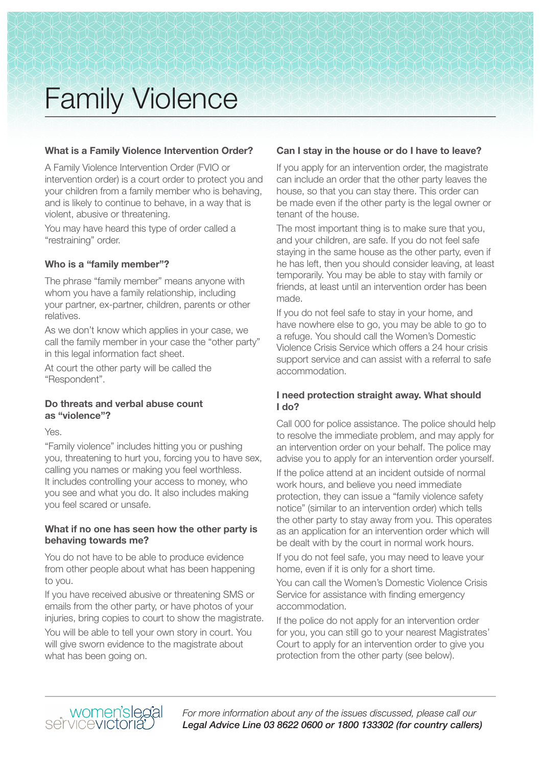### **What is a Family Violence Intervention Order?**

A Family Violence Intervention Order (FVIO or intervention order) is a court order to protect you and your children from a family member who is behaving, and is likely to continue to behave, in a way that is violent, abusive or threatening.

You may have heard this type of order called a "restraining" order.

#### **Who is a "family member"?**

The phrase "family member" means anyone with whom you have a family relationship, including your partner, ex-partner, children, parents or other relatives.

As we don't know which applies in your case, we call the family member in your case the "other party" in this legal information fact sheet.

At court the other party will be called the "Respondent".

#### **Do threats and verbal abuse count as "violence"?**

Yes.

"Family violence" includes hitting you or pushing you, threatening to hurt you, forcing you to have sex, calling you names or making you feel worthless. It includes controlling your access to money, who you see and what you do. It also includes making you feel scared or unsafe.

#### **What if no one has seen how the other party is behaving towards me?**

You do not have to be able to produce evidence from other people about what has been happening to you.

If you have received abusive or threatening SMS or emails from the other party, or have photos of your injuries, bring copies to court to show the magistrate.

You will be able to tell your own story in court. You will give sworn evidence to the magistrate about what has been going on.

# **Can I stay in the house or do I have to leave?**

If you apply for an intervention order, the magistrate can include an order that the other party leaves the house, so that you can stay there. This order can be made even if the other party is the legal owner or tenant of the house.

The most important thing is to make sure that you, and your children, are safe. If you do not feel safe staying in the same house as the other party, even if he has left, then you should consider leaving, at least temporarily. You may be able to stay with family or friends, at least until an intervention order has been made.

If you do not feel safe to stay in your home, and have nowhere else to go, you may be able to go to a refuge. You should call the Women's Domestic Violence Crisis Service which offers a 24 hour crisis support service and can assist with a referral to safe accommodation.

# **I need protection straight away. What should I do?**

Call 000 for police assistance. The police should help to resolve the immediate problem, and may apply for an intervention order on your behalf. The police may advise you to apply for an intervention order yourself.

If the police attend at an incident outside of normal work hours, and believe you need immediate protection, they can issue a "family violence safety notice" (similar to an intervention order) which tells the other party to stay away from you. This operates as an application for an intervention order which will be dealt with by the court in normal work hours.

If you do not feel safe, you may need to leave your home, even if it is only for a short time.

You can call the Women's Domestic Violence Crisis Service for assistance with finding emergency accommodation.

If the police do not apply for an intervention order for you, you can still go to your nearest Magistrates' Court to apply for an intervention order to give you protection from the other party (see below).

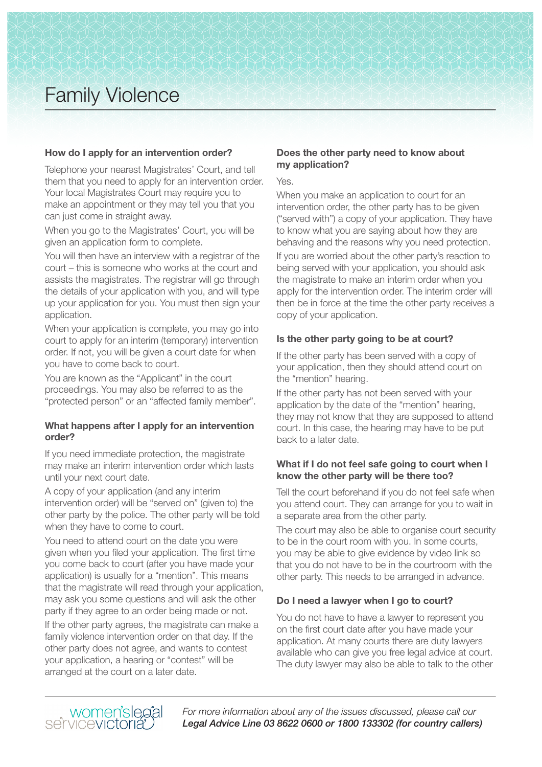# **How do I apply for an intervention order?**

Telephone your nearest Magistrates' Court, and tell them that you need to apply for an intervention order. Your local Magistrates Court may require you to make an appointment or they may tell you that you can just come in straight away.

When you go to the Magistrates' Court, you will be given an application form to complete.

You will then have an interview with a registrar of the court – this is someone who works at the court and assists the magistrates. The registrar will go through the details of your application with you, and will type up your application for you. You must then sign your application.

When your application is complete, you may go into court to apply for an interim (temporary) intervention order. If not, you will be given a court date for when you have to come back to court.

You are known as the "Applicant" in the court proceedings. You may also be referred to as the "protected person" or an "affected family member".

# **What happens after I apply for an intervention order?**

If you need immediate protection, the magistrate may make an interim intervention order which lasts until your next court date.

A copy of your application (and any interim intervention order) will be "served on" (given to) the other party by the police. The other party will be told when they have to come to court.

You need to attend court on the date you were given when you filed your application. The first time you come back to court (after you have made your application) is usually for a "mention". This means that the magistrate will read through your application, may ask you some questions and will ask the other party if they agree to an order being made or not.

If the other party agrees, the magistrate can make a family violence intervention order on that day. If the other party does not agree, and wants to contest your application, a hearing or "contest" will be arranged at the court on a later date.

# **Does the other party need to know about my application?**

Yes.

When you make an application to court for an intervention order, the other party has to be given ("served with") a copy of your application. They have to know what you are saying about how they are behaving and the reasons why you need protection.

If you are worried about the other party's reaction to being served with your application, you should ask the magistrate to make an interim order when you apply for the intervention order. The interim order will then be in force at the time the other party receives a copy of your application.

# **Is the other party going to be at court?**

If the other party has been served with a copy of your application, then they should attend court on the "mention" hearing.

If the other party has not been served with your application by the date of the "mention" hearing, they may not know that they are supposed to attend court. In this case, the hearing may have to be put back to a later date.

# **What if I do not feel safe going to court when I know the other party will be there too?**

Tell the court beforehand if you do not feel safe when you attend court. They can arrange for you to wait in a separate area from the other party.

The court may also be able to organise court security to be in the court room with you. In some courts, you may be able to give evidence by video link so that you do not have to be in the courtroom with the other party. This needs to be arranged in advance.

# **Do I need a lawyer when I go to court?**

You do not have to have a lawyer to represent you on the first court date after you have made your application. At many courts there are duty lawyers available who can give you free legal advice at court. The duty lawyer may also be able to talk to the other

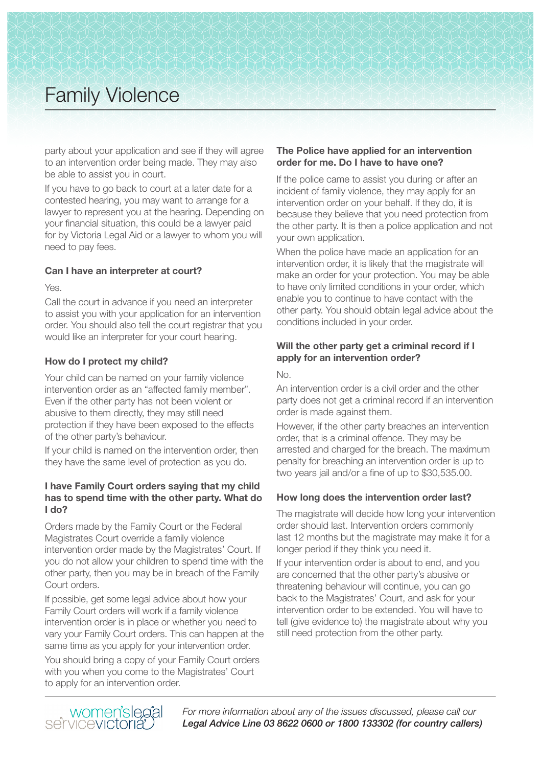party about your application and see if they will agree to an intervention order being made. They may also be able to assist you in court.

If you have to go back to court at a later date for a contested hearing, you may want to arrange for a lawyer to represent you at the hearing. Depending on your financial situation, this could be a lawyer paid for by Victoria Legal Aid or a lawyer to whom you will need to pay fees.

# **Can I have an interpreter at court?**

Yes.

Call the court in advance if you need an interpreter to assist you with your application for an intervention order. You should also tell the court registrar that you would like an interpreter for your court hearing.

# **How do I protect my child?**

Your child can be named on your family violence intervention order as an "affected family member". Even if the other party has not been violent or abusive to them directly, they may still need protection if they have been exposed to the effects of the other party's behaviour.

If your child is named on the intervention order, then they have the same level of protection as you do.

### **I have Family Court orders saying that my child has to spend time with the other party. What do I do?**

Orders made by the Family Court or the Federal Magistrates Court override a family violence intervention order made by the Magistrates' Court. If you do not allow your children to spend time with the other party, then you may be in breach of the Family Court orders.

If possible, get some legal advice about how your Family Court orders will work if a family violence intervention order is in place or whether you need to vary your Family Court orders. This can happen at the same time as you apply for your intervention order.

You should bring a copy of your Family Court orders with you when you come to the Magistrates' Court to apply for an intervention order.

# **The Police have applied for an intervention order for me. Do I have to have one?**

If the police came to assist you during or after an incident of family violence, they may apply for an intervention order on your behalf. If they do, it is because they believe that you need protection from the other party. It is then a police application and not your own application.

When the police have made an application for an intervention order, it is likely that the magistrate will make an order for your protection. You may be able to have only limited conditions in your order, which enable you to continue to have contact with the other party. You should obtain legal advice about the conditions included in your order.

# **Will the other party get a criminal record if I apply for an intervention order?**

 $N<sub>0</sub>$ 

An intervention order is a civil order and the other party does not get a criminal record if an intervention order is made against them.

However, if the other party breaches an intervention order, that is a criminal offence. They may be arrested and charged for the breach. The maximum penalty for breaching an intervention order is up to two years jail and/or a fine of up to \$30,535.00.

# **How long does the intervention order last?**

The magistrate will decide how long your intervention order should last. Intervention orders commonly last 12 months but the magistrate may make it for a longer period if they think you need it.

If your intervention order is about to end, and you are concerned that the other party's abusive or threatening behaviour will continue, you can go back to the Magistrates' Court, and ask for your intervention order to be extended. You will have to tell (give evidence to) the magistrate about why you still need protection from the other party.